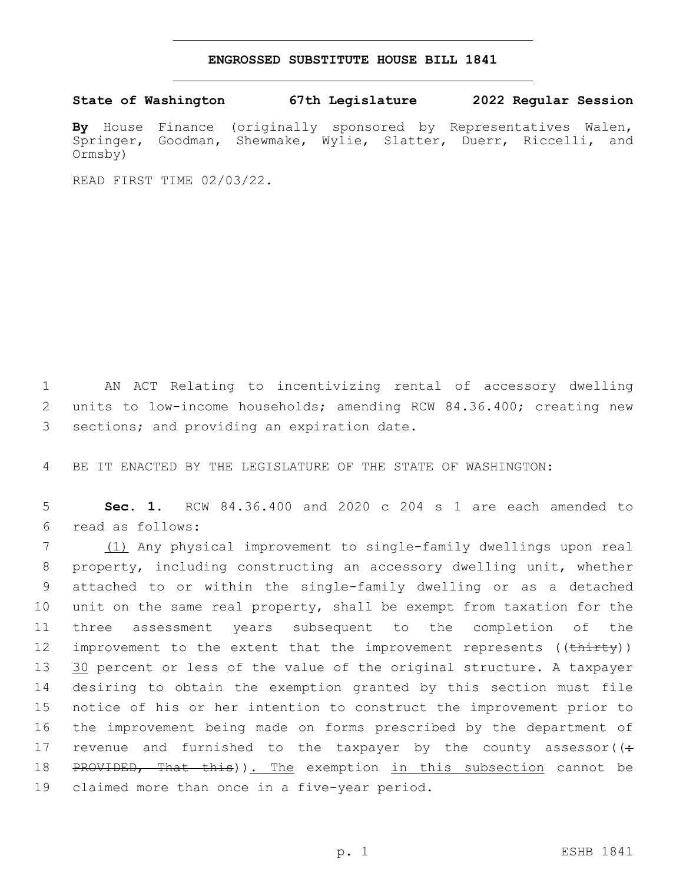## **ENGROSSED SUBSTITUTE HOUSE BILL 1841**

## **State of Washington 67th Legislature 2022 Regular Session**

**By** House Finance (originally sponsored by Representatives Walen, Springer, Goodman, Shewmake, Wylie, Slatter, Duerr, Riccelli, and Ormsby)

READ FIRST TIME 02/03/22.

1 AN ACT Relating to incentivizing rental of accessory dwelling 2 units to low-income households; amending RCW 84.36.400; creating new 3 sections; and providing an expiration date.

4 BE IT ENACTED BY THE LEGISLATURE OF THE STATE OF WASHINGTON:

5 **Sec. 1.** RCW 84.36.400 and 2020 c 204 s 1 are each amended to read as follows:6

 (1) Any physical improvement to single-family dwellings upon real property, including constructing an accessory dwelling unit, whether attached to or within the single-family dwelling or as a detached unit on the same real property, shall be exempt from taxation for the three assessment years subsequent to the completion of the 12 improvement to the extent that the improvement represents ((thirty)) 13 30 percent or less of the value of the original structure. A taxpayer desiring to obtain the exemption granted by this section must file notice of his or her intention to construct the improvement prior to the improvement being made on forms prescribed by the department of 17 revenue and furnished to the taxpayer by the county assessor( $(\div$ 18 PROVIDED, That this)). The exemption in this subsection cannot be 19 claimed more than once in a five-year period.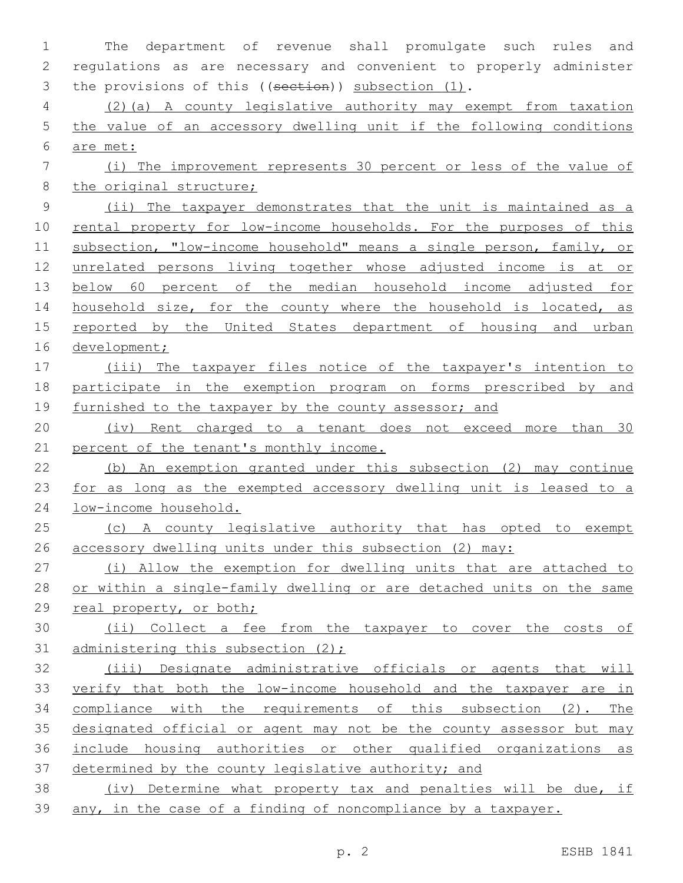The department of revenue shall promulgate such rules and regulations as are necessary and convenient to properly administer 3 the provisions of this ((section)) subsection (1). (2)(a) A county legislative authority may exempt from taxation the value of an accessory dwelling unit if the following conditions are met: (i) The improvement represents 30 percent or less of the value of 8 the original structure; (ii) The taxpayer demonstrates that the unit is maintained as a 10 rental property for low-income households. For the purposes of this subsection, "low-income household" means a single person, family, or unrelated persons living together whose adjusted income is at or below 60 percent of the median household income adjusted for 14 household size, for the county where the household is located, as reported by the United States department of housing and urban development; (iii) The taxpayer files notice of the taxpayer's intention to participate in the exemption program on forms prescribed by and furnished to the taxpayer by the county assessor; and (iv) Rent charged to a tenant does not exceed more than 30 21 percent of the tenant's monthly income. (b) An exemption granted under this subsection (2) may continue 23 for as long as the exempted accessory dwelling unit is leased to a low-income household. 25 (c) A county legislative authority that has opted to exempt accessory dwelling units under this subsection (2) may: (i) Allow the exemption for dwelling units that are attached to or within a single-family dwelling or are detached units on the same real property, or both; (ii) Collect a fee from the taxpayer to cover the costs of 31 administering this subsection (2); (iii) Designate administrative officials or agents that will verify that both the low-income household and the taxpayer are in compliance with the requirements of this subsection (2). The designated official or agent may not be the county assessor but may include housing authorities or other qualified organizations as determined by the county legislative authority; and (iv) Determine what property tax and penalties will be due, if any, in the case of a finding of noncompliance by a taxpayer.